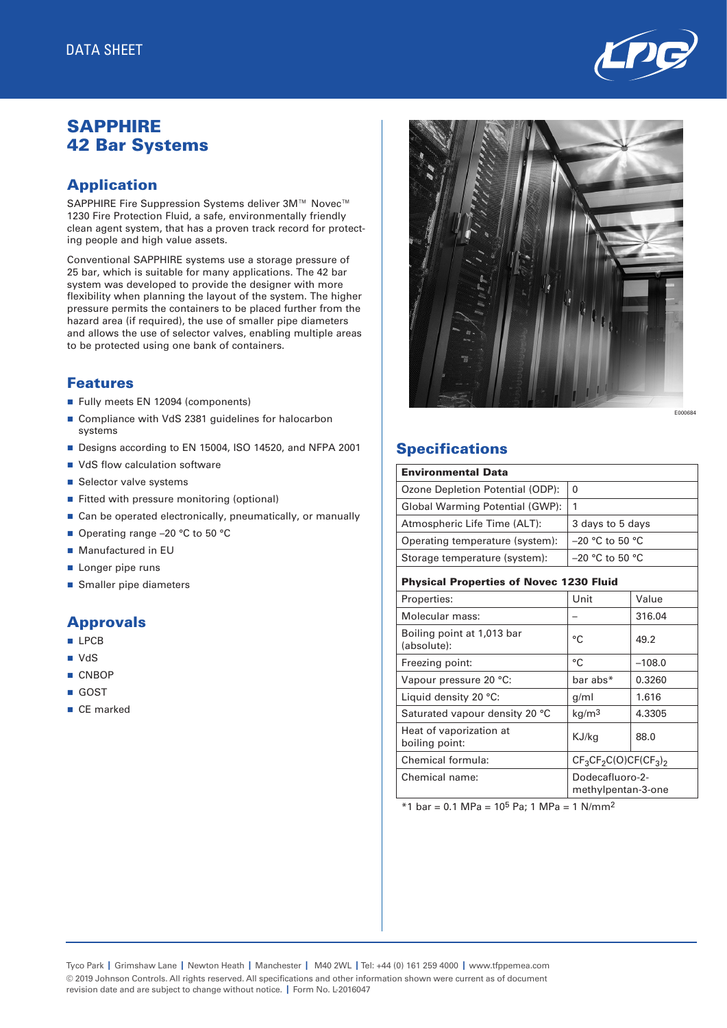

# **SAPPHIRE** 42 Bar Systems

## Application

SAPPHIRE Fire Suppression Systems deliver 3M™ Novec™ 1230 Fire Protection Fluid, a safe, environmentally friendly clean agent system, that has a proven track record for protecting people and high value assets.

Conventional SAPPHIRE systems use a storage pressure of 25 bar, which is suitable for many applications. The 42 bar system was developed to provide the designer with more flexibility when planning the layout of the system. The higher pressure permits the containers to be placed further from the hazard area (if required), the use of smaller pipe diameters and allows the use of selector valves, enabling multiple areas to be protected using one bank of containers.

#### Features

- Fully meets EN 12094 (components)
- Compliance with VdS 2381 guidelines for halocarbon systems
- Designs according to EN 15004, ISO 14520, and NFPA 2001
- VdS flow calculation software
- Selector valve systems
- Fitted with pressure monitoring (optional)
- $\blacksquare$  Can be operated electronically, pneumatically, or manually
- Operating range –20 °C to 50 °C
- Manufactured in EU
- **Longer pipe runs**
- **n** Smaller pipe diameters

### Approvals

- **n** LPCB
- VdS
- **n** CNBOP
- n GOST
- CE marked

E000684

## **Specifications**

| <b>Environmental Data</b>                      |                                       |          |  |  |  |  |  |  |
|------------------------------------------------|---------------------------------------|----------|--|--|--|--|--|--|
| Ozone Depletion Potential (ODP):               | 0                                     |          |  |  |  |  |  |  |
| Global Warming Potential (GWP):                | 1                                     |          |  |  |  |  |  |  |
| Atmospheric Life Time (ALT):                   | 3 days to 5 days                      |          |  |  |  |  |  |  |
| Operating temperature (system):                | $-20$ °C to 50 °C                     |          |  |  |  |  |  |  |
| Storage temperature (system):                  | $-20$ °C to 50 °C                     |          |  |  |  |  |  |  |
| <b>Physical Properties of Novec 1230 Fluid</b> |                                       |          |  |  |  |  |  |  |
| Properties:                                    | Unit                                  | Value    |  |  |  |  |  |  |
| Molecular mass:                                |                                       | 316.04   |  |  |  |  |  |  |
| Boiling point at 1,013 bar<br>(absolute):      | °C                                    | 49.2     |  |  |  |  |  |  |
| Freezing point:                                | °C                                    | $-108.0$ |  |  |  |  |  |  |
| Vapour pressure 20 °C:                         | bar abs*                              | 0.3260   |  |  |  |  |  |  |
| Liquid density 20 °C:                          | g/ml                                  | 1.616    |  |  |  |  |  |  |
| Saturated vapour density 20 °C                 | kg/m <sup>3</sup>                     | 4.3305   |  |  |  |  |  |  |
| Heat of vaporization at<br>boiling point:      | KJ/kg                                 | 88.0     |  |  |  |  |  |  |
| Chemical formula:                              | $CF_3CF_2C(O)CF(CF_3)_2$              |          |  |  |  |  |  |  |
| Chemical name:                                 | Dodecafluoro-2-<br>methylpentan-3-one |          |  |  |  |  |  |  |

 $*1$  bar = 0.1 MPa = 10<sup>5</sup> Pa; 1 MPa = 1 N/mm<sup>2</sup>